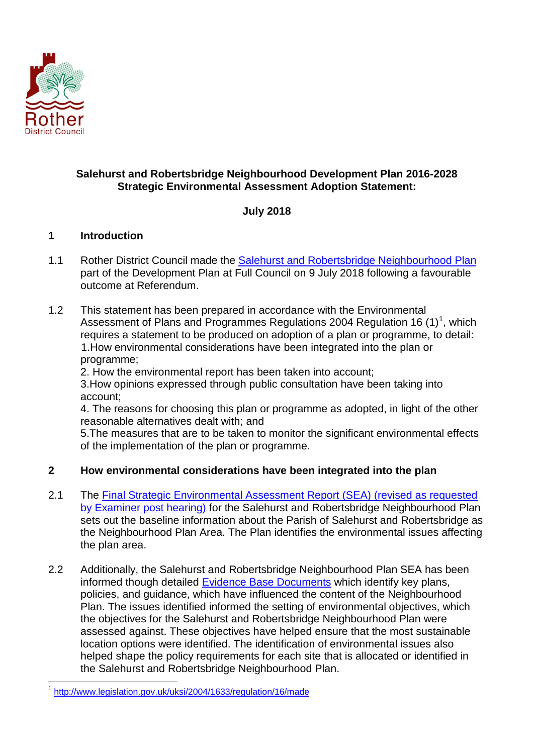

## **Salehurst and Robertsbridge Neighbourhood Development Plan 2016-2028 Strategic Environmental Assessment Adoption Statement:**

# **July 2018**

### **1 Introduction**

- 1.1 Rother District Council made the [Salehurst and Robertsbridge Neighbourhood Plan](http://www.rother.gov.uk/CHttpHandler.ashx?id=30396&p=0) part of the Development Plan at Full Council on 9 July 2018 following a favourable outcome at Referendum.
- 1.2 This statement has been prepared in accordance with the Environmental Assessment of Plans and Programmes Regulations 2004 Regulation [1](#page-0-0)6 (1)<sup>1</sup>, which requires a statement to be produced on adoption of a plan or programme, to detail: 1.How environmental considerations have been integrated into the plan or programme;

2. How the environmental report has been taken into account;

3.How opinions expressed through public consultation have been taking into account;

4. The reasons for choosing this plan or programme as adopted, in light of the other reasonable alternatives dealt with; and

5.The measures that are to be taken to monitor the significant environmental effects of the implementation of the plan or programme.

## **2 How environmental considerations have been integrated into the plan**

- 2.1 The [Final Strategic Environmental Assessment Report](http://www.rother.gov.uk/CHttpHandler.ashx?id=29149&p=0) (SEA) (revised as requested [by Examiner post hearing\)](http://www.rother.gov.uk/CHttpHandler.ashx?id=29149&p=0) for the Salehurst and Robertsbridge Neighbourhood Plan sets out the baseline information about the Parish of Salehurst and Robertsbridge as the Neighbourhood Plan Area. The Plan identifies the environmental issues affecting the plan area.
- 2.2 Additionally, the Salehurst and Robertsbridge Neighbourhood Plan SEA has been informed though detailed [Evidence Base Documents](http://www.rother.gov.uk/article/13081/Salehurst--Robertsbridge-NP---Submission-documents) which identify key plans, policies, and guidance, which have influenced the content of the Neighbourhood Plan. The issues identified informed the setting of environmental objectives, which the objectives for the Salehurst and Robertsbridge Neighbourhood Plan were assessed against. These objectives have helped ensure that the most sustainable location options were identified. The identification of environmental issues also helped shape the policy requirements for each site that is allocated or identified in the Salehurst and Robertsbridge Neighbourhood Plan.

<span id="page-0-0"></span> <sup>1</sup> <http://www.legislation.gov.uk/uksi/2004/1633/regulation/16/made>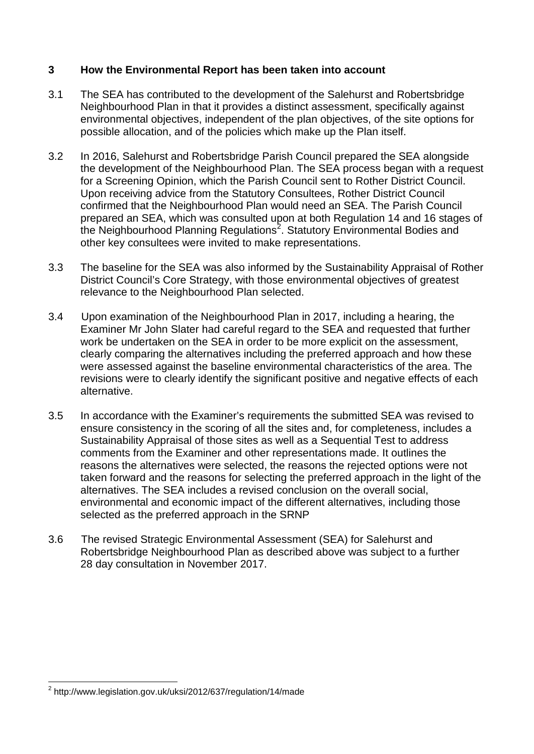### **3 How the Environmental Report has been taken into account**

- 3.1 The SEA has contributed to the development of the Salehurst and Robertsbridge Neighbourhood Plan in that it provides a distinct assessment, specifically against environmental objectives, independent of the plan objectives, of the site options for possible allocation, and of the policies which make up the Plan itself.
- 3.2 In 2016, Salehurst and Robertsbridge Parish Council prepared the SEA alongside the development of the Neighbourhood Plan. The SEA process began with a request for a Screening Opinion, which the Parish Council sent to Rother District Council. Upon receiving advice from the Statutory Consultees, Rother District Council confirmed that the Neighbourhood Plan would need an SEA. The Parish Council prepared an SEA, which was consulted upon at both Regulation 14 and 16 stages of the Neighbourhood Planning Regulations<sup>[2](#page-1-0)</sup>. Statutory Environmental Bodies and other key consultees were invited to make representations.
- 3.3 The baseline for the SEA was also informed by the Sustainability Appraisal of Rother District Council's Core Strategy, with those environmental objectives of greatest relevance to the Neighbourhood Plan selected.
- 3.4 Upon examination of the Neighbourhood Plan in 2017, including a hearing, the Examiner Mr John Slater had careful regard to the SEA and requested that further work be undertaken on the SEA in order to be more explicit on the assessment, clearly comparing the alternatives including the preferred approach and how these were assessed against the baseline environmental characteristics of the area. The revisions were to clearly identify the significant positive and negative effects of each alternative.
- 3.5 In accordance with the Examiner's requirements the submitted SEA was revised to ensure consistency in the scoring of all the sites and, for completeness, includes a Sustainability Appraisal of those sites as well as a Sequential Test to address comments from the Examiner and other representations made. It outlines the reasons the alternatives were selected, the reasons the rejected options were not taken forward and the reasons for selecting the preferred approach in the light of the alternatives. The SEA includes a revised conclusion on the overall social, environmental and economic impact of the different alternatives, including those selected as the preferred approach in the SRNP
- 3.6 The revised Strategic Environmental Assessment (SEA) for Salehurst and Robertsbridge Neighbourhood Plan as described above was subject to a further 28 day consultation in November 2017.

<span id="page-1-0"></span> <sup>2</sup> http://www.legislation.gov.uk/uksi/2012/637/regulation/14/made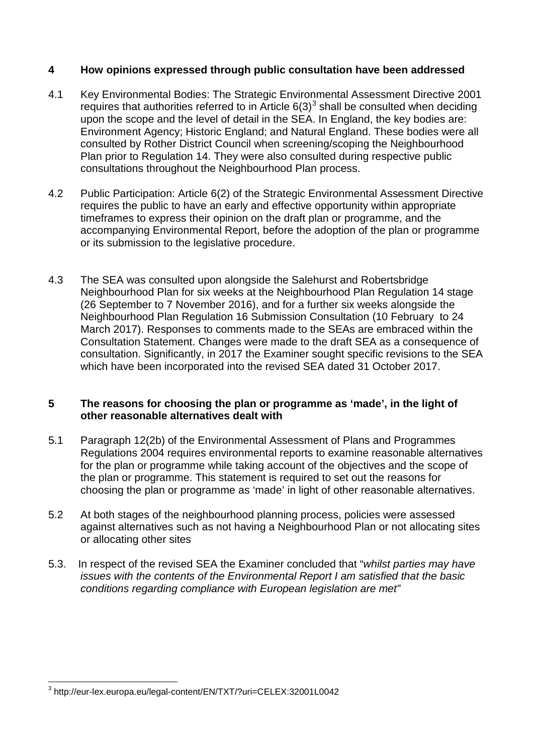### **4 How opinions expressed through public consultation have been addressed**

- 4.1 Key Environmental Bodies: The Strategic Environmental Assessment Directive 2001 requires that authorities referred to in Article  $6(3)^3$  $6(3)^3$  $6(3)^3$  shall be consulted when deciding upon the scope and the level of detail in the SEA. In England, the key bodies are: Environment Agency; Historic England; and Natural England. These bodies were all consulted by Rother District Council when screening/scoping the Neighbourhood Plan prior to Regulation 14. They were also consulted during respective public consultations throughout the Neighbourhood Plan process.
- 4.2 Public Participation: Article 6(2) of the Strategic Environmental Assessment Directive requires the public to have an early and effective opportunity within appropriate timeframes to express their opinion on the draft plan or programme, and the accompanying Environmental Report, before the adoption of the plan or programme or its submission to the legislative procedure.
- 4.3 The SEA was consulted upon alongside the Salehurst and Robertsbridge Neighbourhood Plan for six weeks at the Neighbourhood Plan Regulation 14 stage (26 September to 7 November 2016), and for a further six weeks alongside the Neighbourhood Plan Regulation 16 Submission Consultation (10 February to 24 March 2017). Responses to comments made to the SEAs are embraced within the Consultation Statement. Changes were made to the draft SEA as a consequence of consultation. Significantly, in 2017 the Examiner sought specific revisions to the SEA which have been incorporated into the revised SEA dated 31 October 2017.

#### **5 The reasons for choosing the plan or programme as 'made', in the light of other reasonable alternatives dealt with**

- 5.1 Paragraph 12(2b) of the Environmental Assessment of Plans and Programmes Regulations 2004 requires environmental reports to examine reasonable alternatives for the plan or programme while taking account of the objectives and the scope of the plan or programme. This statement is required to set out the reasons for choosing the plan or programme as 'made' in light of other reasonable alternatives.
- 5.2 At both stages of the neighbourhood planning process, policies were assessed against alternatives such as not having a Neighbourhood Plan or not allocating sites or allocating other sites
- 5.3. In respect of the revised SEA the Examiner concluded that "*whilst parties may have issues with the contents of the Environmental Report I am satisfied that the basic conditions regarding compliance with European legislation are met"*

<span id="page-2-0"></span> <sup>3</sup> http://eur-lex.europa.eu/legal-content/EN/TXT/?uri=CELEX:32001L0042